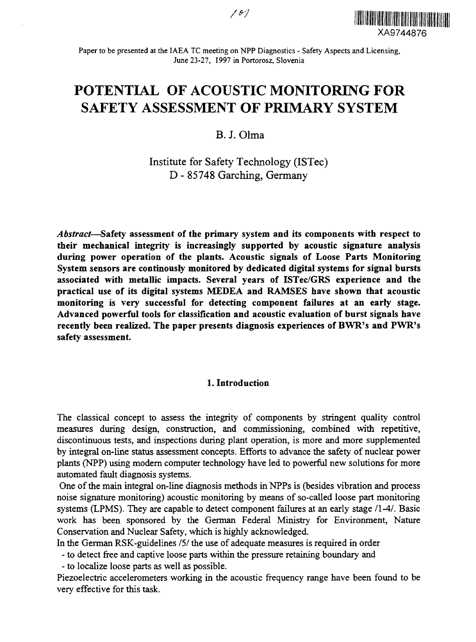$101$ 



Paper to be presented at the IAEA TC meeting on NPP Diagnostics - Safety Aspects and Licensing, June 23-27, 1997 in Portorosz, Slovenia

# **POTENTIAL OF ACOUSTIC MONITORING FOR SAFETY ASSESSMENT OF PRIMARY SYSTEM**

B. J. Olma

Institute for Safety Technology (ISTec) D - 85748 Garching, Germany

*Abstract*—**Safety assessment of the primary system and its components with respect to their mechanical integrity is increasingly supported by acoustic signature analysis during power operation of the plants. Acoustic signals of Loose Parts Monitoring System sensors are continously monitored by dedicated digital systems for signal bursts associated with metallic impacts. Several years of ISTec/GRS experience and the practical use of its digital systems MEDEA and RAMSES have shown that acoustic monitoring is very successful for detecting component failures at an early stage. Advanced powerful tools for classification and acoustic evaluation of burst signals have recently been realized. The paper presents diagnosis experiences of BWR's and PWR's safety assessment.**

#### **1. Introduction**

The classical concept to assess the integrity of components by stringent quality control measures during design, construction, and commissioning, combined with repetitive, discontinuous tests, and inspections during plant operation, is more and more supplemented by integral on-line status assessment concepts. Efforts to advance the safety of nuclear power plants (NPP) using modern computer technology have led to powerful new solutions for more automated fault diagnosis systems.

One of the main integral on-line diagnosis methods in NPPs is (besides vibration and process noise signature monitoring) acoustic monitoring by means of so-called loose part monitoring systems (LPMS). They are capable to detect component failures at an early stage /I-4/. Basic work has been sponsored by the German Federal Ministry for Environment, Nature Conservation and Nuclear Safety, which is highly acknowledged.

In the German RSK-guidelines *151* the use of adequate measures is required in order

- to detect free and captive loose parts within the pressure retaining boundary and

- to localize loose parts as well as possible.

Piezoelectric accelerometers working in the acoustic frequency range have been found to be very effective for this task.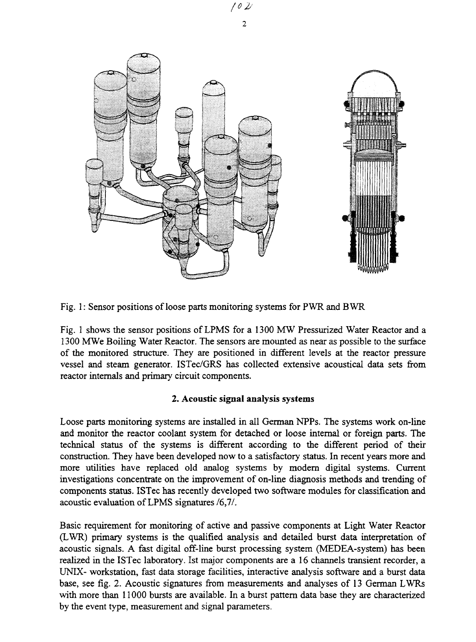

Fig. 1: Sensor positions of loose parts monitoring systems for PWR and BWR

Fig. 1 shows the sensor positions of LPMS for a 1300 MW Pressurized Water Reactor and a 1300 MWe Boiling Water Reactor. The sensors are mounted as near as possible to the surface of the monitored structure. They are positioned in different levels at the reactor pressure vessel and steam generator. ISTec/GRS has collected extensive acoustical data sets from reactor internals and primary circuit components.

## **2. Acoustic signal analysis systems**

Loose parts monitoring systems are installed in all German NPPs. The systems work on-line and monitor the reactor coolant system for detached or loose internal or foreign parts. The technical status of the systems is different according to the different period of their construction. They have been developed now to a satisfactory status. In recent years more and more utilities have replaced old analog systems by modern digital systems. Current investigations concentrate on the improvement of on-line diagnosis methods and trending of components status. ISTec has recently developed two software modules for classification and acoustic evaluation of LPMS signatures /6,7/.

Basic requirement for monitoring of active and passive components at Light Water Reactor (LWR) primary systems is the qualified analysis and detailed burst data interpretation of acoustic signals. A fast digital off-line burst processing system (MEDEA-system) has been realized in the ISTec laboratory. 1st major components are a 16 channels transient recorder, a UNIX- workstation, fast data storage facilities, interactive analysis software and a burst data base, see fig. 2. Acoustic signatures from measurements and analyses of 13 German LWRs with more than 11000 bursts are available. In a burst pattern data base they are characterized by the event type, measurement and signal parameters.

*(0 2/ 2*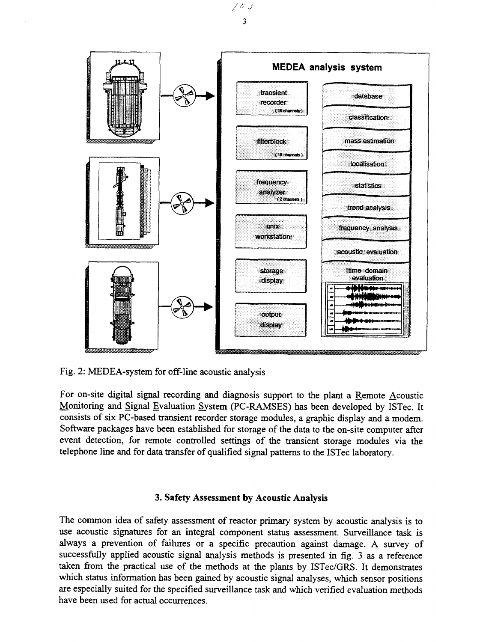

Fig. 2: MEDEA-system for off-line acoustic analysis

For on-site digital signal recording and diagnosis support to the plant a Remote Acoustic Monitoring and Signal Evaluation System (PC-RAMSES) has been developed by ISTec. It consists of six PC-based transient recorder storage modules, a graphic display and a modem. Software packages have been established for storage of the data to the on-site computer after event detection, for remote controlled settings of the transient storage modules via the telephone line and for data transfer of qualified signal patterns to the ISTec laboratory.

## **3. Safety Assessment by Acoustic Analysis**

The common idea of safety assessment of reactor primary system by acoustic analysis is to use acoustic signatures for an integral component status assessment. Surveillance task is always a prevention of failures or a specific precaution against damage. A survey of successfully applied acoustic signal analysis methods is presented in fig. 3 as a reference taken from the practical use of the methods at the plants by ISTec/GRS. It demonstrates which status information has been gained by acoustic signal analyses, which sensor positions are especially suited for the specified surveillance task and which verified evaluation methods have been used for actual occurrences.

 $103$  $\overline{3}$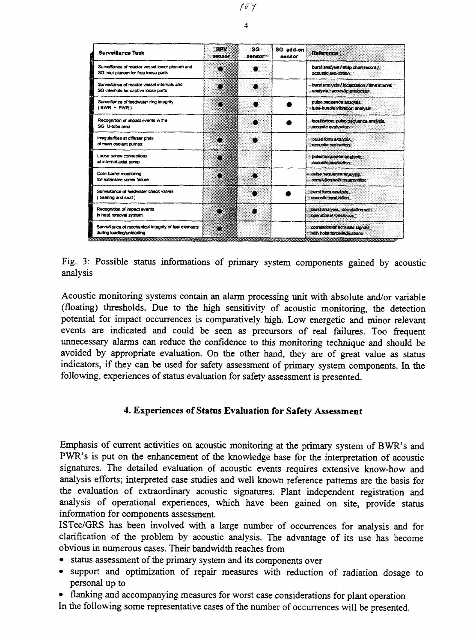| <b>Surveillance Task</b>                                                                                                   | ROW<br>3871981 | ∴SG<br>sensor | SG add-on<br>sansor | <b>Reference</b>                                                                         |
|----------------------------------------------------------------------------------------------------------------------------|----------------|---------------|---------------------|------------------------------------------------------------------------------------------|
| Survalishes of reactor vessel lower plenum and<br>SG inlet plenum for free loose parts                                     |                | 8.            |                     | burst analysis / strip chart record /<br>acoustic avaluation                             |
| Surveillance of reactor vessel internals and<br>SG internals for captive loose parts                                       |                |               |                     | burst analysts / localization / time interval<br>oratysis, accuaile evaksator            |
| Surveillance of feedwater ring integrity<br>$(BWR + PWR)$                                                                  |                |               |                     | pulse sequence analyzis.<br>tube-bundle vicketion analyze.                               |
| Recognition of impact events in the<br>SG U-tube area                                                                      |                |               |                     | localization, pulso secuence analysis.<br>acoustic availables.                           |
| Irregularities at diffuser plats<br>of main coolant pumps                                                                  |                |               |                     | pulse form analysis:<br>BCOUSEC BYZZUBBOX                                                |
| Loose screw connections<br>at internal axial pump                                                                          |                |               |                     | pulse sequence analysis<br><b>Scousic availabor</b>                                      |
| Core barrer monitoring<br>for extensive screw failure                                                                      |                |               |                     | pulse sequence analysis.<br>correlation with bearron flux                                |
| Surveillance of feedwater check valves<br>(bearing and seat)                                                               |                |               |                     | burst form analysis.<br>acoustly exactation.                                             |
| Recognition of impact events<br>in heat removal system                                                                     |                |               |                     | burst analyzis, correlation with<br>coerational measures                                 |
| Surveillance of mechanical integrity of fuel elements<br>during loading/unloading<br>unaam <u>asaanaanaanaanaa</u> naanaan | z,             |               |                     | correlation of accusate signals<br>with holst force indications<br>,,,,,,,,,,,,,,,,,,,,, |

Fig. 3: Possible status informations of primary system components gained by acoustic analysis

Acoustic monitoring systems contain an alarm processing unit with absolute and/or variable (floating) thresholds. Due to the high sensitivity of acoustic monitoring, the detection potential for impact occurrences is comparatively high. Low energetic and minor relevant events are indicated and could be seen as precursors of real failures. Too frequent unnecessary alarms can reduce the confidence to this monitoring technique and should be avoided by appropriate evaluation. On the other hand, they are of great value as status indicators, if they can be used for safety assessment of primary system components. In the following, experiences of status evaluation for safety assessment is presented.

#### **4. Experiences of Status Evaluation for Safety Assessment**

Emphasis of current activities on acoustic monitoring at the primary system of BWR's and PWR's is put on the enhancement of the knowledge base for the interpretation of acoustic signatures. The detailed evaluation of acoustic events requires extensive know-how and analysis efforts; interpreted case studies and well known reference patterns are the basis for the evaluation of extraordinary acoustic signatures. Plant independent registration and analysis of operational experiences, which have been gained on site, provide status information for components assessment.

ISTec/GRS has been involved with a large number of occurrences for analysis and for clarification of the problem by acoustic analysis. The advantage of its use has become obvious in numerous cases. Their bandwidth reaches from

- status assessment of the primary system and its components over
- support and optimization of repair measures with reduction of radiation dosage to personal up to
- flanking and accompanying measures for worst case considerations for plant operation

In the following some representative cases of the number of occurrences will be presented.

*fey* **4**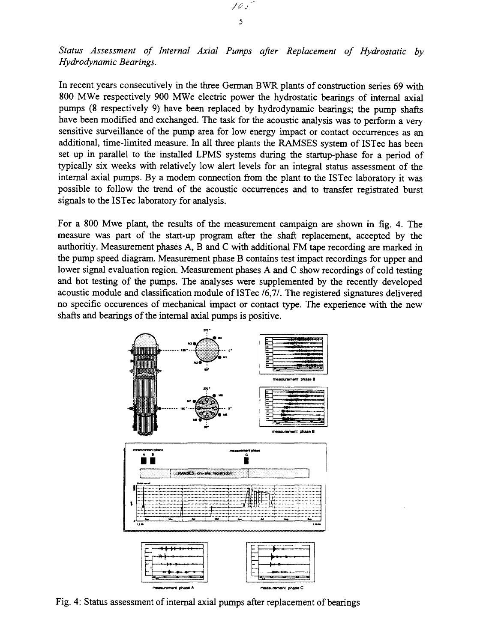*Status Assessment of Internal Axial Pumps after Replacement of Hydrostatic by Hydrodynamic Bearings.*

In recent years consecutively in the three German BWR plants of construction series 69 with 800 MWe respectively 900 MWe electric power the hydrostatic bearings of internal axial pumps (8 respectively 9) have been replaced by hydrodynamic bearings; the pump shafts have been modified and exchanged. The task for the acoustic analysis was to perform a very sensitive surveillance of the pump area for low energy impact or contact occurrences as an additional, time-limited measure. In all three plants the RAMSES system of ISTec has been set up in parallel to the installed LPMS systems during the startup-phase for a period of typically six weeks with relatively low alert levels for an integral status assessment of the internal axial pumps. By a modem connection from the plant to the ISTec laboratory it was possible to follow the trend of the acoustic occurrences and to transfer registrated burst signals to the ISTec laboratory for analysis.

For a 800 Mwe plant, the results of the measurement campaign are shown in fig. 4. The measure was part of the start-up program after the shaft replacement, accepted by the authoritiy. Measurement phases A, B and C with additional FM tape recording are marked in the pump speed diagram. Measurement phase B contains test impact recordings for upper and lower signal evaluation region. Measurement phases A and C show recordings of cold testing and hot testing of the pumps. The analyses were supplemented by the recently developed acoustic module and classification module of ISTec *16,11.* The registered signatures delivered no specific occurences of mechanical impact or contact type. The experience with the new shafts and bearings of the internal axial pumps is positive.



Fig. 4: Status assessment of internal axial pumps after replacement of bearings

10 s 5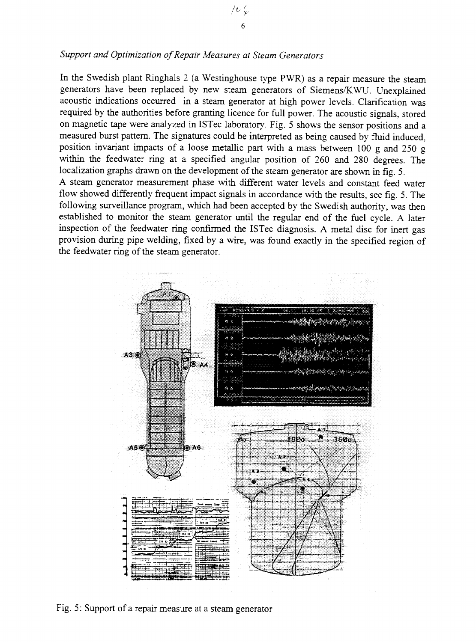### *Support and Optimization of Repair Measures at Steam Generators*

In the Swedish plant Ringhals 2 (a Westinghouse type PWR) as a repair measure the steam generators have been replaced by new steam generators of Siemens/KWU. Unexplained acoustic indications occurred in a steam generator at high power levels. Clarification was required by the authorities before granting licence for full power. The acoustic signals, stored on magnetic tape were analyzed in ISTec laboratory. Fig. 5 shows the sensor positions and a measured burst pattern. The signatures could be interpreted as being caused by fluid induced, position invariant impacts of a loose metallic part with a mass between 100 g and 250 g within the feedwater ring at a specified angular position of 260 and 280 degrees. The localization graphs drawn on the development of the steam generator are shown in fig. 5. A steam generator measurement phase with different water levels and constant feed water flow showed differently frequent impact signals in accordance with the results, see fig. 5. The following surveillance program, which had been accepted by the Swedish authority, was then established to monitor the steam generator until the regular end of the fuel cycle. A later inspection of the feedwater ring confirmed the ISTec diagnosis. A metal disc for inert gas provision during pipe welding, fixed by a wire, was found exactly in the specified region of the feedwater ring of the steam generator.



Fig. 5: Support of a repair measure at a steam generator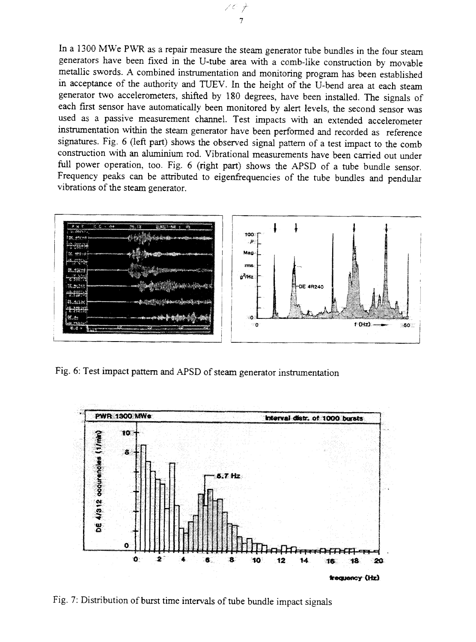In a 1300 MWe PWR as a repair measure the steam generator tube bundles in the four steam generators have been fixed in the U-tube area with a comb-like construction by movable metallic swords. A combined instrumentation and monitoring program has been established in acceptance of the authority and TUEV. In the height of the U-bend area at each steam generator two accelerometers, shifted by 180 degrees, have been installed. The signals of each first sensor have automatically been monitored by alert levels, the second sensor was used as a passive measurement channel. Test impacts with an extended accelerometer instrumentation within the steam generator have been performed and recorded as reference signatures. Fig. 6 (left part) shows the observed signal pattern of a test impact to the comb construction with an aluminium rod. Vibrational measurements have been carried out under full power operation, too. Fig. 6 (right part) shows the APSD of a tube bundle sensor. Frequency peaks can be attributed to eigenfrequencies of the tube bundles and pendular vibrations of the steam generator.



Fig. 6: Test impact pattern and APSD of steam generator instrumentation



Fig. 7: Distribution of burst time intervals of tube bundle impact signals

00  $\overline{7}$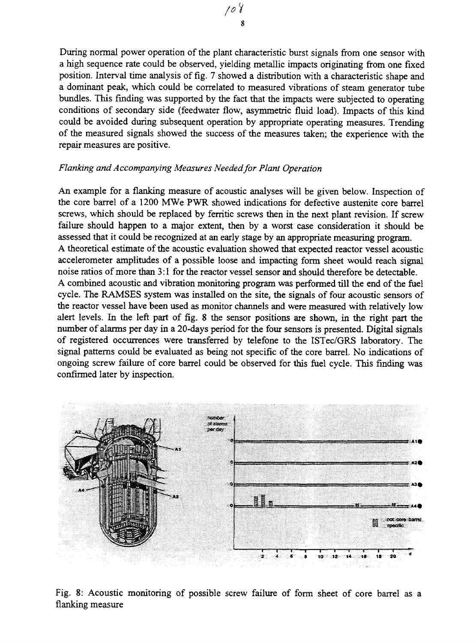During normal power operation of the plant characteristic burst signals from one sensor with a high sequence rate could be observed, yielding metallic impacts originating from one fixed position. Interval time analysis of fig. 7 showed a distribution with a characteristic shape and a dominant peak, which could be correlated to measured vibrations of steam generator tube bundles. This finding was supported by the fact that the impacts were subjected to operating conditions of secondary side (feedwater flow, asymmetric fluid load). Impacts of this kind could be avoided during subsequent operation by appropriate operating measures. Trending of the measured signals showed the success of the measures taken; the experience with the repair measures are positive.

#### *Flanking and Accompanying Measures Needed for Plant Operation*

An example for a flanking measure of acoustic analyses will be given below. Inspection of the core barrel of a 1200 MWe PWR showed indications for defective austenite core barrel screws, which should be replaced by ferritic screws then in the next plant revision. If screw failure should happen to a major extent, then by a worst case consideration it should be assessed that it could be recognized at an early stage by an appropriate measuring program. A theoretical estimate of the acoustic evaluation showed that expected reactor vessel acoustic accelerometer amplitudes of a possible loose and impacting form sheet would reach signal noise ratios of more than 3:1 for the reactor vessel sensor and should therefore be detectable. A combined acoustic and vibration monitoring program was performed till the end of the fuel cycle. The RAMSES system was installed on the site, the signals of four acoustic sensors of the reactor vessel have been used as monitor channels and were measured with relatively low alert levels. In the left part of fig. 8 the sensor positions are shown, in the right part the number of alarms per day in a 20-days period for the four sensors is presented. Digital signals of registered occurrences were transferred by telefone to the ISTec/GRS laboratory. The signal patterns could be evaluated as being not specific of the core barrel. No indications of ongoing screw failure of core barrel could be observed for this fuel cycle. This finding was confirmed later by inspection.



Fig. 8: Acoustic monitoring of possible screw failure of form sheet of core barrel as a flanking measure